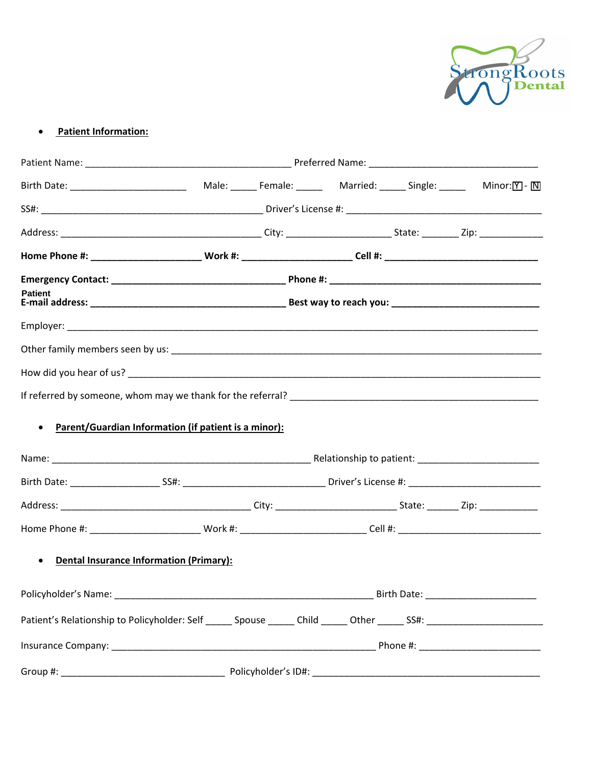

#### **Patient Information:**  $\bullet$

| <b>Patient</b>                                                    |  |  |  |  |  |                                     |
|-------------------------------------------------------------------|--|--|--|--|--|-------------------------------------|
|                                                                   |  |  |  |  |  |                                     |
|                                                                   |  |  |  |  |  |                                     |
|                                                                   |  |  |  |  |  |                                     |
|                                                                   |  |  |  |  |  |                                     |
| Parent/Guardian Information (if patient is a minor):<br>$\bullet$ |  |  |  |  |  |                                     |
|                                                                   |  |  |  |  |  |                                     |
|                                                                   |  |  |  |  |  |                                     |
|                                                                   |  |  |  |  |  |                                     |
|                                                                   |  |  |  |  |  |                                     |
| <b>Dental Insurance Information (Primary):</b><br>$\bullet$       |  |  |  |  |  |                                     |
|                                                                   |  |  |  |  |  | Birth Date: _______________________ |
|                                                                   |  |  |  |  |  |                                     |
|                                                                   |  |  |  |  |  |                                     |
|                                                                   |  |  |  |  |  |                                     |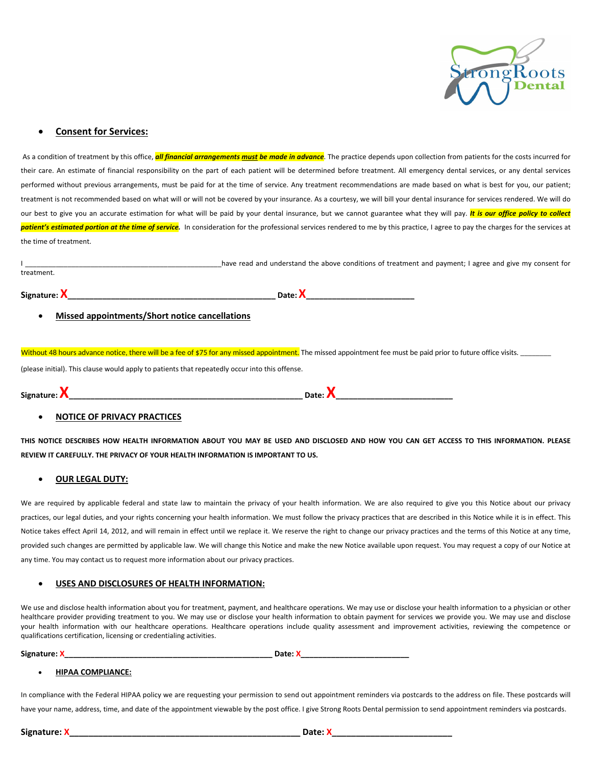

### **Consent for Services:**

As a condition of treatment by this office, **all financial arrangements must be made in advance**. The practice depends upon collection from patients for the costs incurred for their care. An estimate of financial responsibility on the part of each patient will be determined before treatment. All emergency dental services, or any dental services performed without previous arrangements, must be paid for at the time of service. Any treatment recommendations are made based on what is best for you, our patient; treatment is not recommended based on what will or will not be covered by your insurance. As a courtesy, we will bill your dental insurance for services rendered. We will do our best to give you an accurate estimation for what will be paid by your dental insurance, but we cannot guarantee what they will pay. It is our office policy to collect patient's estimated portion at the time of service. In consideration for the professional services rendered to me by this practice, I agree to pay the charges for the services at the time of treatment.

|            | have read and understand the above conditions of treatment and payment; I agree and give my consent for |
|------------|---------------------------------------------------------------------------------------------------------|
| treatment. |                                                                                                         |
|            |                                                                                                         |

Signature: X Date: X Date: X Date: X Date: X Date: X Date: X Date: X Date: X Date: X Date: X Date: X Date: X Date: X Date: X Date: X Date: X Date: X Date: X Date: X Date: X Date: X Date: X Date: X Date: X Date: X Date: X D

Missed appointments/Short notice cancellations

Without 48 hours advance notice, there will be a fee of \$75 for any missed appointment. The missed appointment fee must be paid prior to future office visits.

(please initial). This clause would apply to patients that repeatedly occur into this offense.

| Signature: ⊿ |  |
|--------------|--|
|              |  |

#### **NOTICE OF PRIVACY PRACTICES**

THIS NOTICE DESCRIBES HOW HEALTH INFORMATION ABOUT YOU MAY BE USED AND DISCLOSED AND HOW YOU CAN GET ACCESS TO THIS INFORMATION. PLEASE REVIEW IT CAREFULLY. THE PRIVACY OF YOUR HEALTH INFORMATION IS IMPORTANT TO US.

#### **OUR LEGAL DUTY:**

We are required by applicable federal and state law to maintain the privacy of your health information. We are also required to give you this Notice about our privacy practices, our legal duties, and your rights concerning your health information. We must follow the privacy practices that are described in this Notice while it is in effect. This Notice takes effect April 14, 2012, and will remain in effect until we replace it. We reserve the right to change our privacy practices and the terms of this Notice at any time, provided such changes are permitted by applicable law. We will change this Notice and make the new Notice available upon request. You may request a copy of our Notice at any time. You may contact us to request more information about our privacy practices.

#### USES AND DISCLOSURES OF HEALTH INFORMATION:

We use and disclose health information about you for treatment, payment, and healthcare operations. We may use or disclose your health information to a physician or other healthcare provider providing treatment to you. We may use or disclose your health information to obtain payment for services we provide you. We may use and disclose your health information with our healthcare operations. Healthcare operations include quality assessment and improvement activities, reviewing the competence or qualifications certification, licensing or credentialing activities.

Signature: X

#### **HIPAA COMPLIANCE:**

In compliance with the Federal HIPAA policy we are requesting your permission to send out appointment reminders via postcards to the address on file. These postcards will have your name, address, time, and date of the appointment viewable by the post office. I give Strong Roots Dental permission to send appointment reminders via postcards.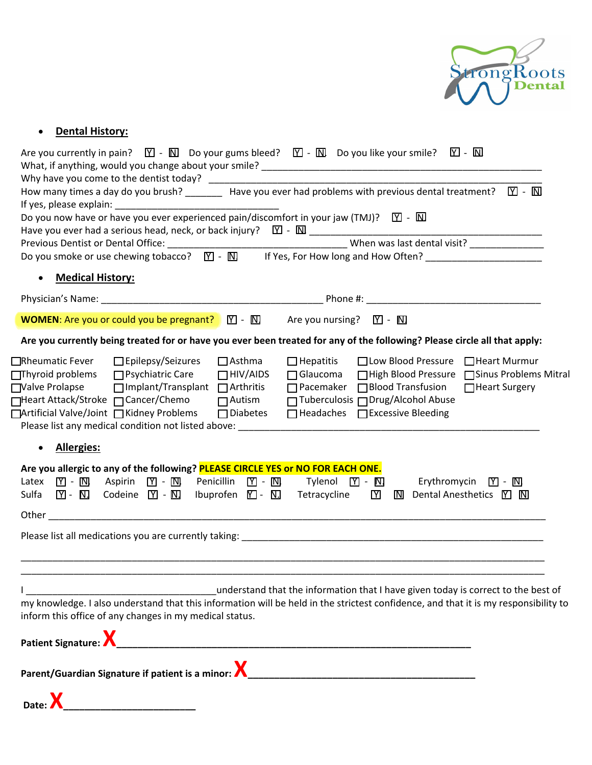

# • Dental History:

| Are you currently in pain? $\Box$ - $\Box$ Do your gums bleed? $\Box$ - $\Box$ Do you like your smile? $\Box$ - $\Box$                                                                                                               |  |  |  |  |  |  |
|--------------------------------------------------------------------------------------------------------------------------------------------------------------------------------------------------------------------------------------|--|--|--|--|--|--|
|                                                                                                                                                                                                                                      |  |  |  |  |  |  |
| How many times a day do you brush? _________ Have you ever had problems with previous dental treatment? $\boxed{\text{Y}}$ - $\boxed{\text{N}}$                                                                                      |  |  |  |  |  |  |
|                                                                                                                                                                                                                                      |  |  |  |  |  |  |
| Do you now have or have you ever experienced pain/discomfort in your jaw (TMJ)? $\boxed{\text{Y}}$ - $\boxed{\text{N}}$                                                                                                              |  |  |  |  |  |  |
|                                                                                                                                                                                                                                      |  |  |  |  |  |  |
|                                                                                                                                                                                                                                      |  |  |  |  |  |  |
| <b>Medical History:</b><br>$\bullet$                                                                                                                                                                                                 |  |  |  |  |  |  |
|                                                                                                                                                                                                                                      |  |  |  |  |  |  |
| <b>WOMEN:</b> Are you or could you be pregnant? $\mathbb{Y}$ - $\mathbb{N}$ Are you nursing? $\mathbb{Y}$ - $\mathbb{N}$                                                                                                             |  |  |  |  |  |  |
| Are you currently being treated for or have you ever been treated for any of the following? Please circle all that apply:                                                                                                            |  |  |  |  |  |  |
| $\Box$ Epilepsy/Seizures<br>$\Box$ Asthma<br>□ Low Blood Pressure □ Heart Murmur<br>□Rheumatic Fever<br>$\Box$ Hepatitis                                                                                                             |  |  |  |  |  |  |
| $\Box$ Thyroid problems<br>□ Psychiatric Care<br>$\Box$ Glaucoma<br>□ High Blood Pressure □ Sinus Problems Mitral<br>$\Box$ HIV/AIDS                                                                                                 |  |  |  |  |  |  |
| $\Box$ Implant/Transplant $\Box$ Arthritis<br>$\Box$ Pacemaker $\Box$ Blood Transfusion<br>□ Valve Prolapse<br>□ Heart Surgery                                                                                                       |  |  |  |  |  |  |
| □ Tuberculosis □ Drug/Alcohol Abuse<br>□Heart Attack/Stroke □ Cancer/Chemo<br>$\Box$ Autism                                                                                                                                          |  |  |  |  |  |  |
| □ Artificial Valve/Joint □ Kidney Problems<br>$\Box$ Diabetes<br>$\Box$ Headaches $\Box$ Excessive Bleeding                                                                                                                          |  |  |  |  |  |  |
| Please list any medical condition not listed above: example a state of the state of the state of the state of                                                                                                                        |  |  |  |  |  |  |
| <b>Allergies:</b><br>$\bullet$                                                                                                                                                                                                       |  |  |  |  |  |  |
| Are you allergic to any of the following? PLEASE CIRCLE YES or NO FOR EACH ONE.                                                                                                                                                      |  |  |  |  |  |  |
| Penicillin $[\nabla]$ - $[\nabla]$<br>Aspirin $\boxed{\mathbf{Y}}$ - $\boxed{\mathbf{N}}$<br>Tylenol $[Y]$ - $[N]$<br>Latex<br>$\mathbf{M}$ - $\mathbf{M}$<br>Erythromycin $\boxed{Y}$ - $\boxed{N}$                                 |  |  |  |  |  |  |
| Codeine $\boxed{\mathbb{Y}}$ - $\boxed{\mathbb{N}}$ Ibuprofen $\boxed{\mathbb{Y}}$ - $\boxed{\mathbb{N}}$ Tetracycline<br>$[Y]$ - $[N]$ .<br>$\mathbf Y$<br>$\overline{N}$ Dental Anesthetics $\overline{Y}$ $\overline{N}$<br>Sulfa |  |  |  |  |  |  |
|                                                                                                                                                                                                                                      |  |  |  |  |  |  |
|                                                                                                                                                                                                                                      |  |  |  |  |  |  |
|                                                                                                                                                                                                                                      |  |  |  |  |  |  |
|                                                                                                                                                                                                                                      |  |  |  |  |  |  |
| understand that the information that I have given today is correct to the best of                                                                                                                                                    |  |  |  |  |  |  |
| my knowledge. I also understand that this information will be held in the strictest confidence, and that it is my responsibility to<br>inform this office of any changes in my medical status.                                       |  |  |  |  |  |  |
|                                                                                                                                                                                                                                      |  |  |  |  |  |  |
|                                                                                                                                                                                                                                      |  |  |  |  |  |  |
|                                                                                                                                                                                                                                      |  |  |  |  |  |  |
| <u> 2000 - Andrea Andrew Maria (h. 1878).</u><br>1900 - Andrew Maria (h. 1880).<br>Date: X                                                                                                                                           |  |  |  |  |  |  |